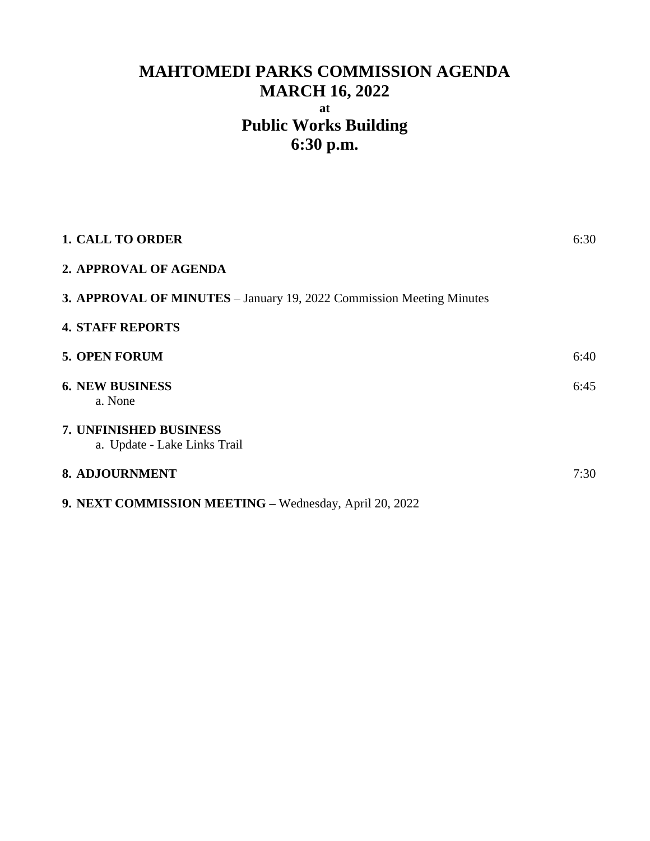# **MAHTOMEDI PARKS COMMISSION AGENDA MARCH 16, 2022 at Public Works Building 6:30 p.m.**

| <b>1. CALL TO ORDER</b>                                              | 6:30 |
|----------------------------------------------------------------------|------|
| 2. APPROVAL OF AGENDA                                                |      |
| 3. APPROVAL OF MINUTES - January 19, 2022 Commission Meeting Minutes |      |
| <b>4. STAFF REPORTS</b>                                              |      |
| <b>5. OPEN FORUM</b>                                                 | 6:40 |
| <b>6. NEW BUSINESS</b><br>a. None                                    | 6:45 |
| 7. UNFINISHED BUSINESS<br>a. Update - Lake Links Trail               |      |
| 8. ADJOURNMENT                                                       | 7:30 |
| 9. NEXT COMMISSION MEETING - Wednesday, April 20, 2022               |      |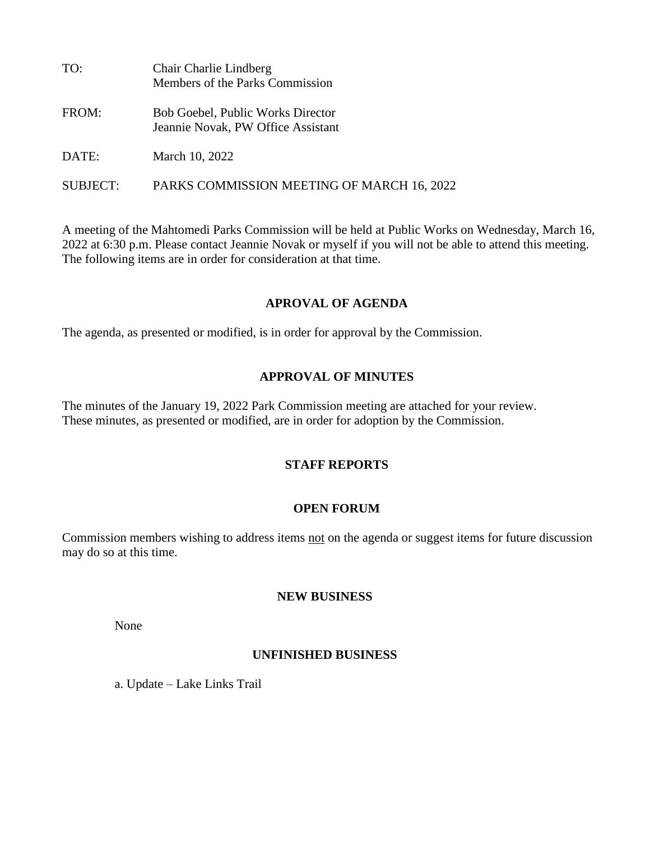| TO:      | Chair Charlie Lindberg<br>Members of the Parks Commission               |
|----------|-------------------------------------------------------------------------|
| FROM:    | Bob Goebel, Public Works Director<br>Jeannie Novak, PW Office Assistant |
| DATE:    | March 10, 2022                                                          |
| SUBJECT: | PARKS COMMISSION MEETING OF MARCH 16, 2022                              |

A meeting of the Mahtomedi Parks Commission will be held at Public Works on Wednesday, March 16, 2022 at 6:30 p.m. Please contact Jeannie Novak or myself if you will not be able to attend this meeting. The following items are in order for consideration at that time.

## **APROVAL OF AGENDA**

The agenda, as presented or modified, is in order for approval by the Commission.

## **APPROVAL OF MINUTES**

The minutes of the January 19, 2022 Park Commission meeting are attached for your review. These minutes, as presented or modified, are in order for adoption by the Commission.

## **STAFF REPORTS**

## **OPEN FORUM**

Commission members wishing to address items not on the agenda or suggest items for future discussion may do so at this time.

#### **NEW BUSINESS**

None

# **UNFINISHED BUSINESS**

a. Update – Lake Links Trail